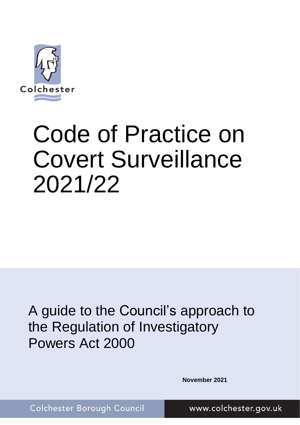

# Code of Practice on Covert Surveillance 2021/22

A guide to the Council's approach to the Regulation of Investigatory Powers Act 2000

**November 2021**

Colchester Borough Council

www.colchester.gov.uk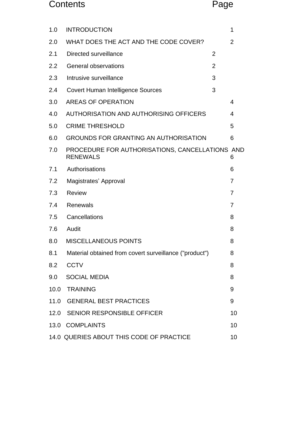# Contents Page

| 1.0  | <b>INTRODUCTION</b>                                                |                | 1              |
|------|--------------------------------------------------------------------|----------------|----------------|
| 2.0  | WHAT DOES THE ACT AND THE CODE COVER?                              |                | $\overline{2}$ |
| 2.1  | Directed surveillance                                              | $\overline{2}$ |                |
| 2.2  | General observations                                               | $\overline{2}$ |                |
| 2.3  | Intrusive surveillance                                             | 3              |                |
| 2.4  | <b>Covert Human Intelligence Sources</b>                           | 3              |                |
| 3.0  | <b>AREAS OF OPERATION</b>                                          |                | 4              |
| 4.0  | AUTHORISATION AND AUTHORISING OFFICERS                             |                | 4              |
| 5.0  | <b>CRIME THRESHOLD</b>                                             |                | 5              |
| 6.0  | <b>GROUNDS FOR GRANTING AN AUTHORISATION</b>                       |                | 6              |
| 7.0  | PROCEDURE FOR AUTHORISATIONS, CANCELLATIONS AND<br><b>RENEWALS</b> |                | 6              |
| 7.1  | Authorisations                                                     |                | 6              |
| 7.2  | Magistrates' Approval                                              |                | $\overline{7}$ |
| 7.3  | <b>Review</b>                                                      |                | 7              |
| 7.4  | <b>Renewals</b>                                                    |                | 7              |
| 7.5  | Cancellations                                                      |                | 8              |
| 7.6  | Audit                                                              |                | 8              |
| 8.0  | <b>MISCELLANEOUS POINTS</b>                                        |                | 8              |
| 8.1  | Material obtained from covert surveillance ("product")             |                | 8              |
| 8.2  | <b>CCTV</b>                                                        |                | 8              |
| 9.0  | <b>SOCIAL MEDIA</b>                                                |                | 8              |
| 10.0 | <b>TRAINING</b>                                                    |                | 9              |
| 11.0 | <b>GENERAL BEST PRACTICES</b>                                      |                | 9              |
| 12.0 | <b>SENIOR RESPONSIBLE OFFICER</b>                                  |                | 10             |
| 13.0 | <b>COMPLAINTS</b>                                                  |                | 10             |
|      | 14.0 QUERIES ABOUT THIS CODE OF PRACTICE                           |                | 10             |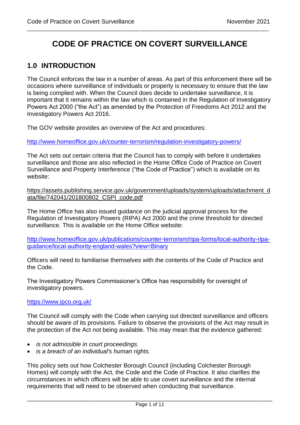# **CODE OF PRACTICE ON COVERT SURVEILLANCE**

\_\_\_\_\_\_\_\_\_\_\_\_\_\_\_\_\_\_\_\_\_\_\_\_\_\_\_\_\_\_\_\_\_\_\_\_\_\_\_\_\_\_\_\_\_\_\_\_\_\_\_\_\_\_\_\_\_\_\_\_\_\_\_\_\_\_\_\_\_\_\_\_\_\_\_\_\_\_\_\_\_\_\_\_\_\_\_\_\_\_\_\_\_\_\_\_\_\_\_\_\_\_\_\_\_\_\_\_

# <span id="page-2-0"></span>**1.0 INTRODUCTION**

The Council enforces the law in a number of areas. As part of this enforcement there will be occasions where surveillance of individuals or property is necessary to ensure that the law is being complied with. When the Council does decide to undertake surveillance, it is important that it remains within the law which is contained in the Regulation of Investigatory Powers Act 2000 ("the Act") as amended by the Protection of Freedoms Act 2012 and the Investigatory Powers Act 2016.

The GOV website provides an overview of the Act and procedures:

<http://www.homeoffice.gov.uk/counter-terrorism/regulation-investigatory-powers/>

The Act sets out certain criteria that the Council has to comply with before it undertakes surveillance and those are also reflected in the Home Office Code of Practice on Covert Surveillance and Property Interference ("the Code of Practice") which is available on its website:

[https://assets.publishing.service.gov.uk/government/uploads/system/uploads/attachment\\_d](https://assets.publishing.service.gov.uk/government/uploads/system/uploads/attachment_data/file/742041/201800802_CSPI_code.pdf) [ata/file/742041/201800802\\_CSPI\\_code.pdf](https://assets.publishing.service.gov.uk/government/uploads/system/uploads/attachment_data/file/742041/201800802_CSPI_code.pdf)

The Home Office has also issued guidance on the judicial approval process for the Regulation of Investigatory Powers (RIPA) Act 2000 and the crime threshold for directed surveillance. This is available on the Home Office website:

[http://www.homeoffice.gov.uk/publications/counter-terrorism/ripa-forms/local-authority-ripa](http://www.homeoffice.gov.uk/publications/counter-terrorism/ripa-forms/local-authority-ripa-guidance/local-authority-england-wales?view=Binary)[guidance/local-authority-england-wales?view=Binary](http://www.homeoffice.gov.uk/publications/counter-terrorism/ripa-forms/local-authority-ripa-guidance/local-authority-england-wales?view=Binary)

Officers will need to familiarise themselves with the contents of the Code of Practice and the Code.

The Investigatory Powers Commissioner's Office has responsibility for oversight of investigatory powers.

#### <https://www.ipco.org.uk/>

The Council will comply with the Code when carrying out directed surveillance and officers should be aware of its provisions. Failure to observe the provisions of the Act may result in the protection of the Act not being available. This may mean that the evidence gathered:

- *is not admissible in court proceedings.*
- *is a breach of an individual's human rights.*

This policy sets out how Colchester Borough Council (including Colchester Borough Homes) will comply with the Act, the Code and the Code of Practice. It also clarifies the circumstances in which officers will be able to use covert surveillance and the internal requirements that will need to be observed when conducting that surveillance.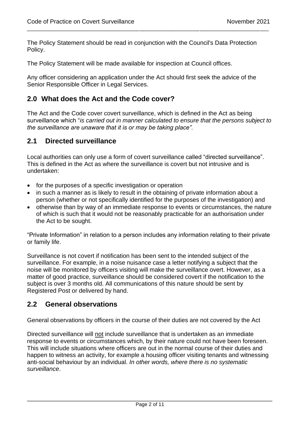The Policy Statement should be read in conjunction with the Council's Data Protection Policy.

\_\_\_\_\_\_\_\_\_\_\_\_\_\_\_\_\_\_\_\_\_\_\_\_\_\_\_\_\_\_\_\_\_\_\_\_\_\_\_\_\_\_\_\_\_\_\_\_\_\_\_\_\_\_\_\_\_\_\_\_\_\_\_\_\_\_\_\_\_\_\_\_\_\_\_\_\_\_\_\_\_\_\_\_\_\_\_\_\_\_\_\_\_\_\_\_\_\_\_\_\_\_\_\_\_\_\_\_

The Policy Statement will be made available for inspection at Council offices.

Any officer considering an application under the Act should first seek the advice of the Senior Responsible Officer in Legal Services.

#### <span id="page-3-0"></span>**2.0 What does the Act and the Code cover?**

The Act and the Code cover covert surveillance, which is defined in the Act as being surveillance which "*is carried out in manner calculated to ensure that the persons subject to the surveillance are unaware that it is or may be taking place".* 

#### <span id="page-3-1"></span>**2.1 Directed surveillance**

Local authorities can only use a form of covert surveillance called "directed surveillance". This is defined in the Act as where the surveillance is covert but not intrusive and is undertaken:

- for the purposes of a specific investigation or operation
- in such a manner as is likely to result in the obtaining of private information about a person (whether or not specifically identified for the purposes of the investigation) and
- otherwise than by way of an immediate response to events or circumstances, the nature of which is such that it would not be reasonably practicable for an authorisation under the Act to be sought.

"Private Information" in relation to a person includes any information relating to their private or family life.

Surveillance is not covert if notification has been sent to the intended subject of the surveillance. For example, in a noise nuisance case a letter notifying a subject that the noise will be monitored by officers visiting will make the surveillance overt. However, as a matter of good practice, surveillance should be considered covert if the notification to the subject is over 3 months old. All communications of this nature should be sent by Registered Post or delivered by hand.

#### <span id="page-3-2"></span>**2.2 General observations**

General observations by officers in the course of their duties are not covered by the Act

Directed surveillance will not include surveillance that is undertaken as an immediate response to events or circumstances which, by their nature could not have been foreseen. This will include situations where officers are out in the normal course of their duties and happen to witness an activity, for example a housing officer visiting tenants and witnessing anti-social behaviour by an individual. *In other words, where there is no systematic surveillance*.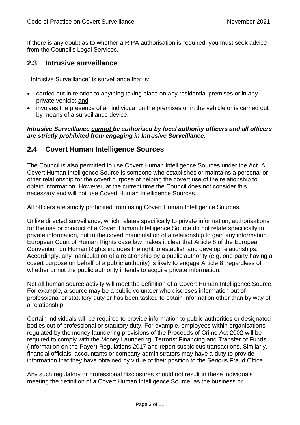If there is any doubt as to whether a RIPA authorisation is required, you must seek advice from the Council's Legal Services.

\_\_\_\_\_\_\_\_\_\_\_\_\_\_\_\_\_\_\_\_\_\_\_\_\_\_\_\_\_\_\_\_\_\_\_\_\_\_\_\_\_\_\_\_\_\_\_\_\_\_\_\_\_\_\_\_\_\_\_\_\_\_\_\_\_\_\_\_\_\_\_\_\_\_\_\_\_\_\_\_\_\_\_\_\_\_\_\_\_\_\_\_\_\_\_\_\_\_\_\_\_\_\_\_\_\_\_\_

#### <span id="page-4-0"></span>**2.3 Intrusive surveillance**

"Intrusive Surveillance" is surveillance that is:

- carried out in relation to anything taking place on any residential premises or in any private vehicle; and
- involves the presence of an individual on the premises or in the vehicle or is carried out by means of a surveillance device.

#### *Intrusive Surveillance cannot be authorised by local authority officers and all officers are strictly prohibited from engaging in Intrusive Surveillance.*

#### <span id="page-4-1"></span>**2.4 Covert Human Intelligence Sources**

The Council is also permitted to use Covert Human Intelligence Sources under the Act. A Covert Human Intelligence Source is someone who establishes or maintains a personal or other relationship for the covert purpose of helping the covert use of the relationship to obtain information. However, at the current time the Council does not consider this necessary and will not use Covert Human Intelligence Sources.

All officers are strictly prohibited from using Covert Human Intelligence Sources.

Unlike directed surveillance, which relates specifically to private information, authorisations for the use or conduct of a Covert Human Intelligence Source do not relate specifically to private information, but to the covert manipulation of a relationship to gain any information. European Court of Human Rights case law makes it clear that Article 8 of the European Convention on Human Rights includes the right to establish and develop relationships. Accordingly, any manipulation of a relationship by a public authority (e.g. one party having a covert purpose on behalf of a public authority) is likely to engage Article 8, regardless of whether or not the public authority intends to acquire private information.

Not all human source activity will meet the definition of a Covert Human Intelligence Source. For example, a source may be a public volunteer who discloses information out of professional or statutory duty or has been tasked to obtain information other than by way of a relationship.

<span id="page-4-2"></span>Certain individuals will be required to provide information to public authorities or designated bodies out of professional or statutory duty. For example, employees within organisations regulated by the money laundering provisions of the Proceeds of Crime Act 2002 will be required to comply with the Money Laundering, Terrorist Financing and Transfer of Funds (Information on the Payer) Regulations 2017 and report suspicious transactions. Similarly, financial officials, accountants or company administrators may have a duty to provide information that they have obtained by virtue of their position to the Serious Fraud Office.

Any such regulatory or professional disclosures should not result in these individuals meeting the definition of a Covert Human Intelligence Source, as the business or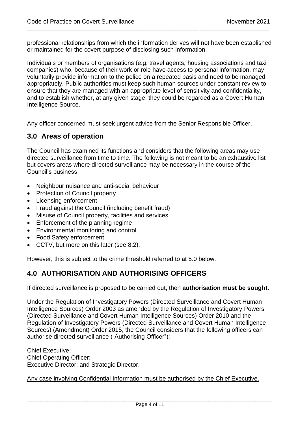professional relationships from which the information derives will not have been established or maintained for the covert purpose of disclosing such information.

\_\_\_\_\_\_\_\_\_\_\_\_\_\_\_\_\_\_\_\_\_\_\_\_\_\_\_\_\_\_\_\_\_\_\_\_\_\_\_\_\_\_\_\_\_\_\_\_\_\_\_\_\_\_\_\_\_\_\_\_\_\_\_\_\_\_\_\_\_\_\_\_\_\_\_\_\_\_\_\_\_\_\_\_\_\_\_\_\_\_\_\_\_\_\_\_\_\_\_\_\_\_\_\_\_\_\_\_

Individuals or members of organisations (e.g. travel agents, housing associations and taxi companies) who, because of their work or role have access to personal information, may voluntarily provide information to the police on a repeated basis and need to be managed appropriately. Public authorities must keep such human sources under constant review to ensure that they are managed with an appropriate level of sensitivity and confidentiality, and to establish whether, at any given stage, they could be regarded as a Covert Human Intelligence Source.

Any officer concerned must seek urgent advice from the Senior Responsible Officer.

#### **3.0 Areas of operation**

The Council has examined its functions and considers that the following areas may use directed surveillance from time to time. The following is not meant to be an exhaustive list but covers areas where directed surveillance may be necessary in the course of the Council's business.

- Neighbour nuisance and anti-social behaviour
- Protection of Council property
- Licensing enforcement
- Fraud against the Council (including benefit fraud)
- Misuse of Council property, facilities and services
- Enforcement of the planning regime
- Environmental monitoring and control
- Food Safety enforcement.
- CCTV, but more on this later (see 8.2).

However, this is subject to the crime threshold referred to at 5.0 below.

# <span id="page-5-0"></span>**4.0 AUTHORISATION AND AUTHORISING OFFICERS**

If directed surveillance is proposed to be carried out, then **authorisation must be sought.** 

Under the Regulation of Investigatory Powers (Directed Surveillance and Covert Human Intelligence Sources) Order 2003 as amended by the Regulation of Investigatory Powers (Directed Surveillance and Covert Human Intelligence Sources) Order 2010 and the Regulation of Investigatory Powers (Directed Surveillance and Covert Human Intelligence Sources) (Amendment) Order 2015, the Council considers that the following officers can authorise directed surveillance ("Authorising Officer"):

Chief Executive; Chief Operating Officer; Executive Director; and Strategic Director.

Any case involving Confidential Information must be authorised by the Chief Executive.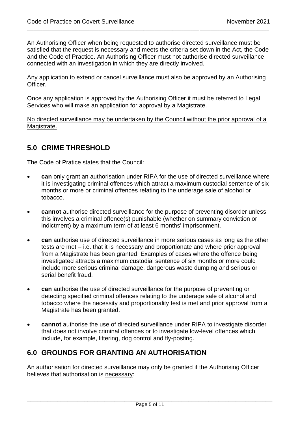An Authorising Officer when being requested to authorise directed surveillance must be satisfied that the request is necessary and meets the criteria set down in the Act, the Code and the Code of Practice. An Authorising Officer must not authorise directed surveillance connected with an investigation in which they are directly involved.

\_\_\_\_\_\_\_\_\_\_\_\_\_\_\_\_\_\_\_\_\_\_\_\_\_\_\_\_\_\_\_\_\_\_\_\_\_\_\_\_\_\_\_\_\_\_\_\_\_\_\_\_\_\_\_\_\_\_\_\_\_\_\_\_\_\_\_\_\_\_\_\_\_\_\_\_\_\_\_\_\_\_\_\_\_\_\_\_\_\_\_\_\_\_\_\_\_\_\_\_\_\_\_\_\_\_\_\_

Any application to extend or cancel surveillance must also be approved by an Authorising Officer.

Once any application is approved by the Authorising Officer it must be referred to Legal Services who will make an application for approval by a Magistrate.

No directed surveillance may be undertaken by the Council without the prior approval of a Magistrate.

# <span id="page-6-0"></span>**5.0 CRIME THRESHOLD**

The Code of Pratice states that the Council:

- **can** only grant an authorisation under RIPA for the use of directed surveillance where it is investigating criminal offences which attract a maximum custodial sentence of six months or more or criminal offences relating to the underage sale of alcohol or tobacco.
- **cannot** authorise directed surveillance for the purpose of preventing disorder unless this involves a criminal offence(s) punishable (whether on summary conviction or indictment) by a maximum term of at least 6 months' imprisonment.
- **can** authorise use of directed surveillance in more serious cases as long as the other tests are met – i.e. that it is necessary and proportionate and where prior approval from a Magistrate has been granted. Examples of cases where the offence being investigated attracts a maximum custodial sentence of six months or more could include more serious criminal damage, dangerous waste dumping and serious or serial benefit fraud.
- **can** authorise the use of directed surveillance for the purpose of preventing or detecting specified criminal offences relating to the underage sale of alcohol and tobacco where the necessity and proportionality test is met and prior approval from a Magistrate has been granted.
- **cannot** authorise the use of directed surveillance under RIPA to investigate disorder that does not involve criminal offences or to investigate low-level offences which include, for example, littering, dog control and fly-posting.

# <span id="page-6-1"></span>**6.0 GROUNDS FOR GRANTING AN AUTHORISATION**

An authorisation for directed surveillance may only be granted if the Authorising Officer believes that authorisation is necessary: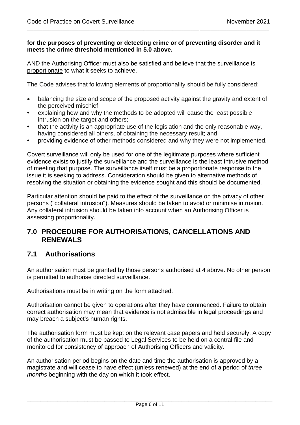#### **for the purposes of preventing or detecting crime or of preventing disorder and it meets the crime threshold mentioned in 5.0 above.**

\_\_\_\_\_\_\_\_\_\_\_\_\_\_\_\_\_\_\_\_\_\_\_\_\_\_\_\_\_\_\_\_\_\_\_\_\_\_\_\_\_\_\_\_\_\_\_\_\_\_\_\_\_\_\_\_\_\_\_\_\_\_\_\_\_\_\_\_\_\_\_\_\_\_\_\_\_\_\_\_\_\_\_\_\_\_\_\_\_\_\_\_\_\_\_\_\_\_\_\_\_\_\_\_\_\_\_\_

AND the Authorising Officer must also be satisfied and believe that the surveillance is proportionate to what it seeks to achieve.

The Code advises that following elements of proportionality should be fully considered:

- balancing the size and scope of the proposed activity against the gravity and extent of the perceived mischief;
- explaining how and why the methods to be adopted will cause the least possible intrusion on the target and others;
- that the activity is an appropriate use of the legislation and the only reasonable way, having considered all others, of obtaining the necessary result; and
- providing evidence of other methods considered and why they were not implemented.

Covert surveillance will only be used for one of the legitimate purposes where sufficient evidence exists to justify the surveillance and the surveillance is the least intrusive method of meeting that purpose. The surveillance itself must be a proportionate response to the issue it is seeking to address. Consideration should be given to alternative methods of resolving the situation or obtaining the evidence sought and this should be documented.

Particular attention should be paid to the effect of the surveillance on the privacy of other persons ("collateral intrusion"). Measures should be taken to avoid or minimise intrusion. Any collateral intrusion should be taken into account when an Authorising Officer is assessing proportionality.

#### <span id="page-7-0"></span>**7.0 PROCEDURE FOR AUTHORISATIONS, CANCELLATIONS AND RENEWALS**

#### <span id="page-7-1"></span>**7.1 Authorisations**

An authorisation must be granted by those persons authorised at 4 above. No other person is permitted to authorise directed surveillance.

Authorisations must be in writing on the form attached.

Authorisation cannot be given to operations after they have commenced. Failure to obtain correct authorisation may mean that evidence is not admissible in legal proceedings and may breach a subject's human rights.

The authorisation form must be kept on the relevant case papers and held securely. A copy of the authorisation must be passed to Legal Services to be held on a central file and monitored for consistency of approach of Authorising Officers and validity.

An authorisation period begins on the date and time the authorisation is approved by a magistrate and will cease to have effect (unless renewed) at the end of a period of *three months* beginning with the day on which it took effect.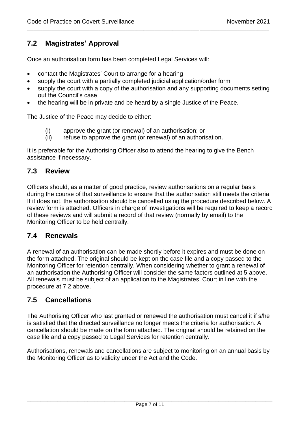# <span id="page-8-0"></span>**7.2 Magistrates' Approval**

Once an authorisation form has been completed Legal Services will:

- contact the Magistrates' Court to arrange for a hearing
- supply the court with a partially completed judicial application/order form
- supply the court with a copy of the authorisation and any supporting documents setting out the Council's case

\_\_\_\_\_\_\_\_\_\_\_\_\_\_\_\_\_\_\_\_\_\_\_\_\_\_\_\_\_\_\_\_\_\_\_\_\_\_\_\_\_\_\_\_\_\_\_\_\_\_\_\_\_\_\_\_\_\_\_\_\_\_\_\_\_\_\_\_\_\_\_\_\_\_\_\_\_\_\_\_\_\_\_\_\_\_\_\_\_\_\_\_\_\_\_\_\_\_\_\_\_\_\_\_\_\_\_\_

• the hearing will be in private and be heard by a single Justice of the Peace.

The Justice of the Peace may decide to either:

- (i) approve the grant (or renewal) of an authorisation; or
- (ii) refuse to approve the grant (or renewal) of an authorisation.

<span id="page-8-1"></span>It is preferable for the Authorising Officer also to attend the hearing to give the Bench assistance if necessary.

#### **7.3 Review**

Officers should, as a matter of good practice, review authorisations on a regular basis during the course of that surveillance to ensure that the authorisation still meets the criteria. If it does not, the authorisation should be cancelled using the procedure described below. A review form is attached. Officers in charge of investigations will be required to keep a record of these reviews and will submit a record of that review (normally by email) to the Monitoring Officer to be held centrally.

#### <span id="page-8-2"></span>**7.4 Renewals**

A renewal of an authorisation can be made shortly before it expires and must be done on the form attached. The original should be kept on the case file and a copy passed to the Monitoring Officer for retention centrally. When considering whether to grant a renewal of an authorisation the Authorising Officer will consider the same factors outlined at 5 above. All renewals must be subject of an application to the Magistrates' Court in line with the procedure at 7.2 above.

#### <span id="page-8-3"></span>**7.5 Cancellations**

The Authorising Officer who last granted or renewed the authorisation must cancel it if s/he is satisfied that the directed surveillance no longer meets the criteria for authorisation. A cancellation should be made on the form attached. The original should be retained on the case file and a copy passed to Legal Services for retention centrally.

<span id="page-8-4"></span>Authorisations, renewals and cancellations are subject to monitoring on an annual basis by the Monitoring Officer as to validity under the Act and the Code.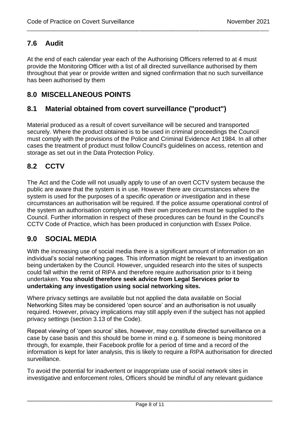# **7.6 Audit**

At the end of each calendar year each of the Authorising Officers referred to at 4 must provide the Monitoring Officer with a list of all directed surveillance authorised by them throughout that year or provide written and signed confirmation that no such surveillance has been authorised by them

\_\_\_\_\_\_\_\_\_\_\_\_\_\_\_\_\_\_\_\_\_\_\_\_\_\_\_\_\_\_\_\_\_\_\_\_\_\_\_\_\_\_\_\_\_\_\_\_\_\_\_\_\_\_\_\_\_\_\_\_\_\_\_\_\_\_\_\_\_\_\_\_\_\_\_\_\_\_\_\_\_\_\_\_\_\_\_\_\_\_\_\_\_\_\_\_\_\_\_\_\_\_\_\_\_\_\_\_

# <span id="page-9-0"></span>**8.0 MISCELLANEOUS POINTS**

# <span id="page-9-1"></span>**8.1 Material obtained from covert surveillance ("product")**

Material produced as a result of covert surveillance will be secured and transported securely. Where the product obtained is to be used in criminal proceedings the Council must comply with the provisions of the Police and Criminal Evidence Act 1984. In all other cases the treatment of product must follow Council's guidelines on access, retention and storage as set out in the Data Protection Policy.

# <span id="page-9-2"></span>**8.2 CCTV**

The Act and the Code will not usually apply to use of an overt CCTV system because the public are aware that the system is in use. However there are circumstances where the system is used for the purposes of a *specific operation or investigation* and in these circumstances an authorisation will be required. If the police assume operational control of the system an authorisation complying with their own procedures must be supplied to the Council. Further information in respect of these procedures can be found in the Council's CCTV Code of Practice, which has been produced in conjunction with Essex Police.

# **9.0 SOCIAL MEDIA**

With the increasing use of social media there is a significant amount of information on an individual's social networking pages. This information might be relevant to an investigation being undertaken by the Council. However, unguided research into the sites of suspects could fall within the remit of RIPA and therefore require authorisation prior to it being undertaken. **You should therefore seek advice from Legal Services prior to undertaking any investigation using social networking sites.** 

Where privacy settings are available but not applied the data available on Social Networking Sites may be considered 'open source' and an authorisation is not usually required. However, privacy implications may still apply even if the subject has not applied privacy settings (section 3.13 of the Code).

Repeat viewing of 'open source' sites, however, may constitute directed surveillance on a case by case basis and this should be borne in mind e.g. if someone is being monitored through, for example, their Facebook profile for a period of time and a record of the information is kept for later analysis, this is likely to require a RIPA authorisation for directed surveillance.

To avoid the potential for inadvertent or inappropriate use of social network sites in investigative and enforcement roles, Officers should be mindful of any relevant guidance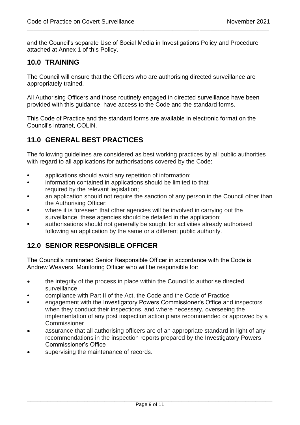and the Council's separate Use of Social Media in Investigations Policy and Procedure attached at Annex 1 of this Policy.

\_\_\_\_\_\_\_\_\_\_\_\_\_\_\_\_\_\_\_\_\_\_\_\_\_\_\_\_\_\_\_\_\_\_\_\_\_\_\_\_\_\_\_\_\_\_\_\_\_\_\_\_\_\_\_\_\_\_\_\_\_\_\_\_\_\_\_\_\_\_\_\_\_\_\_\_\_\_\_\_\_\_\_\_\_\_\_\_\_\_\_\_\_\_\_\_\_\_\_\_\_\_\_\_\_\_\_\_

# <span id="page-10-0"></span>**10.0 TRAINING**

The Council will ensure that the Officers who are authorising directed surveillance are appropriately trained.

All Authorising Officers and those routinely engaged in directed surveillance have been provided with this guidance, have access to the Code and the standard forms.

This Code of Practice and the standard forms are available in electronic format on the Council's intranet, COLIN.

# <span id="page-10-1"></span>**11.0 GENERAL BEST PRACTICES**

The following guidelines are considered as best working practices by all public authorities with regard to all applications for authorisations covered by the Code:

- applications should avoid any repetition of information;
- information contained in applications should be limited to that required by the relevant legislation;
- an application should not require the sanction of any person in the Council other than the Authorising Officer;
- where it is foreseen that other agencies will be involved in carrying out the surveillance, these agencies should be detailed in the application;
- authorisations should not generally be sought for activities already authorised following an application by the same or a different public authority.

# <span id="page-10-2"></span>**12.0 SENIOR RESPONSIBLE OFFICER**

The Council's nominated Senior Responsible Officer in accordance with the Code is Andrew Weavers, Monitoring Officer who will be responsible for:

- the integrity of the process in place within the Council to authorise directed surveillance
- compliance with Part II of the Act, the Code and the Code of Practice
- engagement with the Investigatory Powers Commissioner's Office and inspectors when they conduct their inspections, and where necessary, overseeing the implementation of any post inspection action plans recommended or approved by a **Commissioner**
- assurance that all authorising officers are of an appropriate standard in light of any recommendations in the inspection reports prepared by the Investigatory Powers Commissioner's Office
- <span id="page-10-3"></span>supervising the maintenance of records.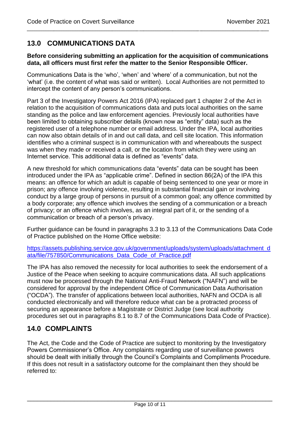# **13.0 COMMUNICATIONS DATA**

#### **Before considering submitting an application for the acquisition of communications data, all officers must first refer the matter to the Senior Responsible Officer.**

\_\_\_\_\_\_\_\_\_\_\_\_\_\_\_\_\_\_\_\_\_\_\_\_\_\_\_\_\_\_\_\_\_\_\_\_\_\_\_\_\_\_\_\_\_\_\_\_\_\_\_\_\_\_\_\_\_\_\_\_\_\_\_\_\_\_\_\_\_\_\_\_\_\_\_\_\_\_\_\_\_\_\_\_\_\_\_\_\_\_\_\_\_\_\_\_\_\_\_\_\_\_\_\_\_\_\_\_

Communications Data is the 'who', 'when' and 'where' of a communication, but not the 'what' (i.e. the content of what was said or written). Local Authorities are not permitted to intercept the content of any person's communications.

Part 3 of the Investigatory Powers Act 2016 (IPA) replaced part 1 chapter 2 of the Act in relation to the acquisition of communications data and puts local authorities on the same standing as the police and law enforcement agencies. Previously local authorities have been limited to obtaining subscriber details (known now as "entity" data) such as the registered user of a telephone number or email address. Under the IPA, local authorities can now also obtain details of in and out call data, and cell site location. This information identifies who a criminal suspect is in communication with and whereabouts the suspect was when they made or received a call, or the location from which they were using an Internet service. This additional data is defined as "events" data.

A new threshold for which communications data "events" data can be sought has been introduced under the IPA as "applicable crime". Defined in section 86(2A) of the IPA this means: an offence for which an adult is capable of being sentenced to one year or more in prison; any offence involving violence, resulting in substantial financial gain or involving conduct by a large group of persons in pursuit of a common goal; any offence committed by a body corporate; any offence which involves the sending of a communication or a breach of privacy; or an offence which involves, as an integral part of it, or the sending of a communication or breach of a person's privacy.

Further guidance can be found in paragraphs 3.3 to 3.13 of the Communications Data Code of Practice published on the Home Office website:

[https://assets.publishing.service.gov.uk/government/uploads/system/uploads/attachment\\_d](https://assets.publishing.service.gov.uk/government/uploads/system/uploads/attachment_data/file/757850/Communications_Data_Code_of_Practice.pdf) [ata/file/757850/Communications\\_Data\\_Code\\_of\\_Practice.pdf](https://assets.publishing.service.gov.uk/government/uploads/system/uploads/attachment_data/file/757850/Communications_Data_Code_of_Practice.pdf)

The IPA has also removed the necessity for local authorities to seek the endorsement of a Justice of the Peace when seeking to acquire communications data. All such applications must now be processed through the National Anti-Fraud Network ("NAFN") and will be considered for approval by the independent Office of Communication Data Authorisation ("OCDA"). The transfer of applications between local authorities, NAFN and OCDA is all conducted electronically and will therefore reduce what can be a protracted process of securing an appearance before a Magistrate or District Judge (see local authority procedures set out in paragraphs 8.1 to 8.7 of the Communications Data Code of Practice).

# **14.0 COMPLAINTS**

The Act, the Code and the Code of Practice are subject to monitoring by the Investigatory Powers Commissioner's Office. Any complaints regarding use of surveillance powers should be dealt with initially through the Council's Complaints and Compliments Procedure. If this does not result in a satisfactory outcome for the complainant then they should be referred to: